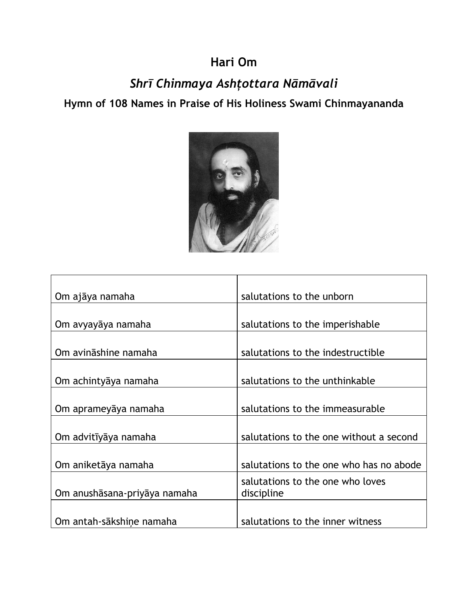## **Hari Om**

## *Shrī Chinmaya Ashţottara Nāmāvali*

**Hymn of 108 Names in Praise of His Holiness Swami Chinmayananda**



| Om ajāya namaha              | salutations to the unborn               |
|------------------------------|-----------------------------------------|
|                              |                                         |
| Om avyayāya namaha           | salutations to the imperishable         |
|                              |                                         |
| Om avināshine namaha         | salutations to the indestructible       |
|                              |                                         |
| Om achintyāya namaha         | salutations to the unthinkable          |
|                              |                                         |
| Om aprameyāya namaha         | salutations to the immeasurable         |
|                              |                                         |
| Om advitīyāya namaha         | salutations to the one without a second |
|                              |                                         |
| Om aniketāya namaha          | salutations to the one who has no abode |
|                              | salutations to the one who loves        |
| Om anushāsana-priyāya namaha | discipline                              |
|                              |                                         |
| Om antah-sākshiņe namaha     | salutations to the inner witness        |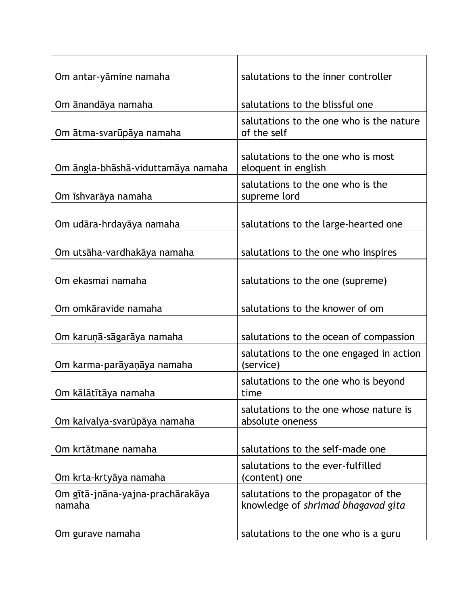| Om antar-yāmine namaha                     | salutations to the inner controller                                        |
|--------------------------------------------|----------------------------------------------------------------------------|
|                                            |                                                                            |
| Om ānandāya namaha                         | salutations to the blissful one                                            |
| Om ātma-svarūpāya namaha                   | salutations to the one who is the nature<br>of the self                    |
| Om āngla-bhāshā-viduttamāya namaha         | salutations to the one who is most<br>eloquent in english                  |
| Om īshvarāya namaha                        | salutations to the one who is the<br>supreme lord                          |
| Om udāra-hrdayāya namaha                   | salutations to the large-hearted one                                       |
| Om utsāha-vardhakāya namaha                | salutations to the one who inspires                                        |
| Om ekasmai namaha                          | salutations to the one (supreme)                                           |
| Om omkāravide namaha                       | salutations to the knower of om                                            |
| Om karuņā-sāgarāya namaha                  | salutations to the ocean of compassion                                     |
| Om karma-parāyaņāya namaha                 | salutations to the one engaged in action<br>(service)                      |
| Om kālātītāya namaha                       | salutations to the one who is beyond<br>time                               |
| Om kaivalya-svarūpāya namaha               | salutations to the one whose nature is<br>absolute oneness                 |
| Om krtātmane namaha                        | salutations to the self-made one                                           |
| Om krta-krtyāya namaha                     | salutations to the ever-fulfilled<br>(content) one                         |
| Om gītā-jnāna-yajna-prachārakāya<br>namaha | salutations to the propagator of the<br>knowledge of shrimad bhagavad gita |
| Om gurave namaha                           | salutations to the one who is a guru                                       |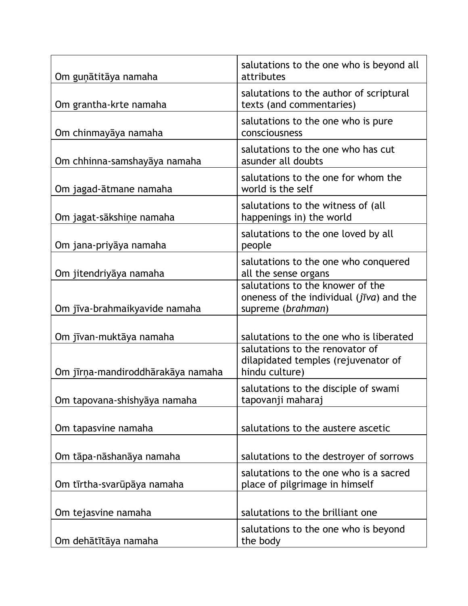| Om guņātitāya namaha              | salutations to the one who is beyond all<br>attributes                                                    |
|-----------------------------------|-----------------------------------------------------------------------------------------------------------|
| Om grantha-krte namaha            | salutations to the author of scriptural<br>texts (and commentaries)                                       |
| Om chinmayaya namaha              | salutations to the one who is pure<br>consciousness                                                       |
| Om chhinna-samshayāya namaha      | salutations to the one who has cut<br>asunder all doubts                                                  |
| Om jagad-ātmane namaha            | salutations to the one for whom the<br>world is the self                                                  |
| Om jagat-sākshiņe namaha          | salutations to the witness of (all<br>happenings in) the world                                            |
| Om jana-priyāya namaha            | salutations to the one loved by all<br>people                                                             |
| Om jitendriyāya namaha            | salutations to the one who conquered<br>all the sense organs                                              |
| Om jīva-brahmaikyavide namaha     | salutations to the knower of the<br>oneness of the individual $(j\bar{v}va)$ and the<br>supreme (brahman) |
| Om jīvan-muktāya namaha           | salutations to the one who is liberated                                                                   |
| Om jīrņa-mandiroddhārakāya namaha | salutations to the renovator of<br>dilapidated temples (rejuvenator of<br>hindu culture)                  |
| Om tapovana-shishyāya namaha      | salutations to the disciple of swami<br>tapovanji maharaj                                                 |
| Om tapasvine namaha               | salutations to the austere ascetic                                                                        |
| Om tāpa-nāshanāya namaha          | salutations to the destroyer of sorrows                                                                   |
| Om tīrtha-svarūpāya namaha        | salutations to the one who is a sacred<br>place of pilgrimage in himself                                  |
| Om tejasvine namaha               | salutations to the brilliant one                                                                          |
| Om dehātītāya namaha              | salutations to the one who is beyond<br>the body                                                          |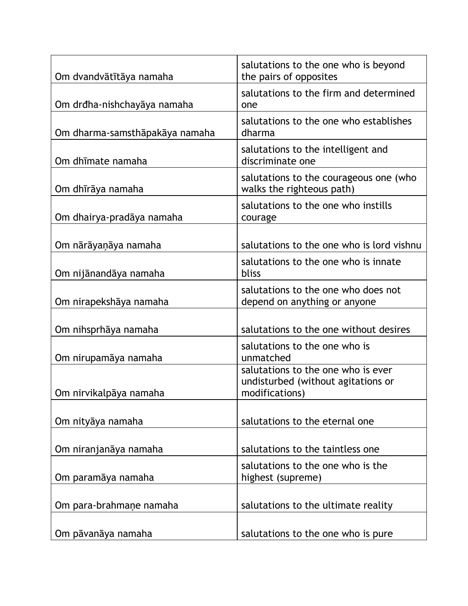| Om dvandvātītāya namaha        | salutations to the one who is beyond<br>the pairs of opposites                             |
|--------------------------------|--------------------------------------------------------------------------------------------|
| Om drđha-nishchayāya namaha    | salutations to the firm and determined<br>one                                              |
| Om dharma-samsthāpakāya namaha | salutations to the one who establishes<br>dharma                                           |
| Om dhīmate namaha              | salutations to the intelligent and<br>discriminate one                                     |
| Om dhīrāya namaha              | salutations to the courageous one (who<br>walks the righteous path)                        |
| Om dhairya-pradāya namaha      | salutations to the one who instills<br>courage                                             |
| Om nārāyaņāya namaha           | salutations to the one who is lord vishnu                                                  |
| Om nijānandāya namaha          | salutations to the one who is innate<br>bliss                                              |
| Om nirapekshāya namaha         | salutations to the one who does not<br>depend on anything or anyone                        |
| Om nihsprhāya namaha           | salutations to the one without desires                                                     |
| Om nirupamāya namaha           | salutations to the one who is<br>unmatched                                                 |
| Om nirvikalpāya namaha         | salutations to the one who is ever<br>undisturbed (without agitations or<br>modifications) |
| Om nityāya namaha              | salutations to the eternal one                                                             |
| Om niranjanāya namaha          | salutations to the taintless one                                                           |
| Om paramāya namaha             | salutations to the one who is the<br>highest (supreme)                                     |
| Om para-brahmane namaha        | salutations to the ultimate reality                                                        |
| Om pāvanāya namaha             | salutations to the one who is pure                                                         |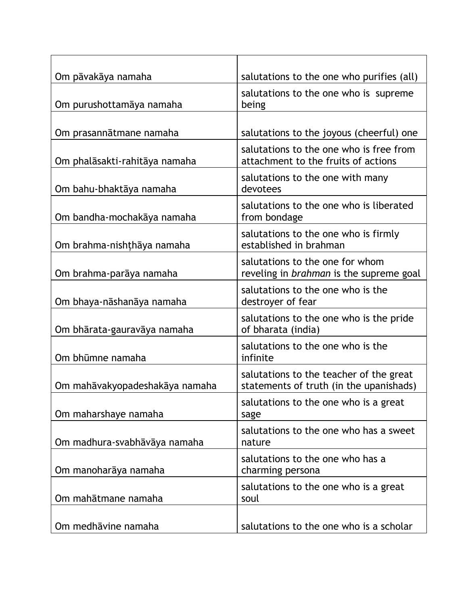| Om pāvakāya namaha             | salutations to the one who purifies (all)                                          |
|--------------------------------|------------------------------------------------------------------------------------|
| Om purushottamāya namaha       | salutations to the one who is supreme<br>being                                     |
|                                |                                                                                    |
| Om prasannātmane namaha        | salutations to the joyous (cheerful) one                                           |
| Om phalāsakti-rahitāya namaha  | salutations to the one who is free from<br>attachment to the fruits of actions     |
| Om bahu-bhaktāya namaha        | salutations to the one with many<br>devotees                                       |
| Om bandha-mochakāya namaha     | salutations to the one who is liberated<br>from bondage                            |
| Om brahma-nishthaya namaha     | salutations to the one who is firmly<br>established in brahman                     |
| Om brahma-parāya namaha        | salutations to the one for whom<br>reveling in brahman is the supreme goal         |
| Om bhaya-nāshanāya namaha      | salutations to the one who is the<br>destroyer of fear                             |
| Om bhārata-gauravāya namaha    | salutations to the one who is the pride<br>of bharata (india)                      |
| Om bhūmne namaha               | salutations to the one who is the<br>infinite                                      |
| Om mahāvakyopadeshakāya namaha | salutations to the teacher of the great<br>statements of truth (in the upanishads) |
| Om maharshaye namaha           | salutations to the one who is a great<br>sage                                      |
| Om madhura-svabhāvāya namaha   | salutations to the one who has a sweet<br>nature                                   |
| Om manoharāya namaha           | salutations to the one who has a<br>charming persona                               |
| Om mahātmane namaha            | salutations to the one who is a great<br>soul                                      |
| Om medhāvine namaha            | salutations to the one who is a scholar                                            |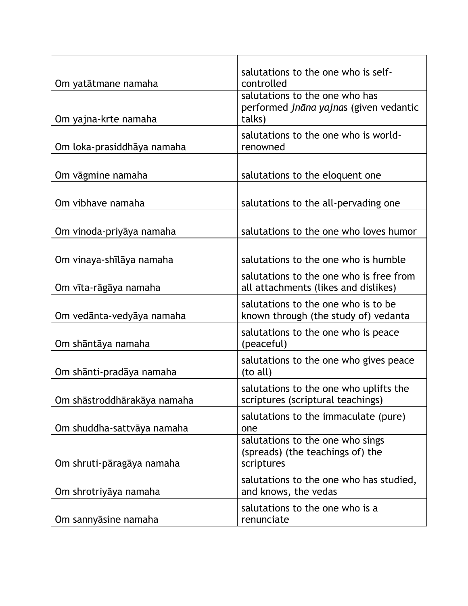|                             | salutations to the one who is self-                                                |
|-----------------------------|------------------------------------------------------------------------------------|
| Om yatātmane namaha         | controlled                                                                         |
| Om yajna-krte namaha        | salutations to the one who has<br>performed jnāna yajnas (given vedantic<br>talks) |
|                             |                                                                                    |
| Om loka-prasiddhāya namaha  | salutations to the one who is world-<br>renowned                                   |
|                             |                                                                                    |
| Om vāgmine namaha           | salutations to the eloquent one                                                    |
| Om vibhave namaha           | salutations to the all-pervading one                                               |
| Om vinoda-priyāya namaha    | salutations to the one who loves humor                                             |
|                             |                                                                                    |
| Om vinaya-shīlāya namaha    | salutations to the one who is humble                                               |
| Om vīta-rāgāya namaha       | salutations to the one who is free from<br>all attachments (likes and dislikes)    |
| Om vedānta-vedyāya namaha   | salutations to the one who is to be<br>known through (the study of) vedanta        |
| Om shāntāya namaha          | salutations to the one who is peace<br>(peaceful)                                  |
| Om shānti-pradāya namaha    | salutations to the one who gives peace<br>(to all)                                 |
| Om shāstroddhārakāya namaha | salutations to the one who uplifts the<br>scriptures (scriptural teachings)        |
| Om shuddha-sattvāya namaha  | salutations to the immaculate (pure)<br>one                                        |
| Om shruti-pāragāya namaha   | salutations to the one who sings<br>(spreads) (the teachings of) the<br>scriptures |
| Om shrotriyāya namaha       | salutations to the one who has studied,<br>and knows, the vedas                    |
| Om sannyāsine namaha        | salutations to the one who is a<br>renunciate                                      |